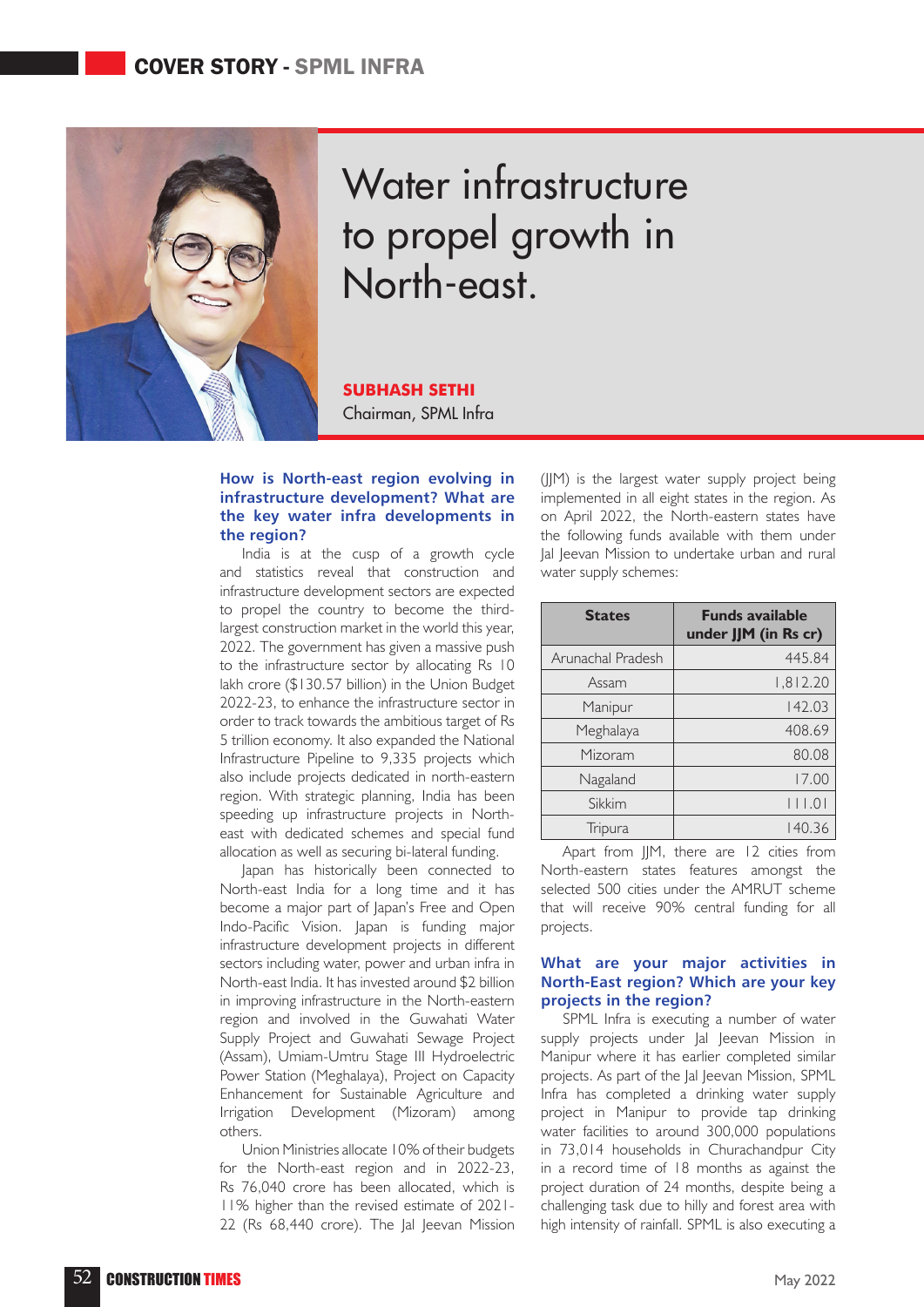

# Water infrastructure to propel growth in North-east.

**SUBHASH SETHI** Chairman, SPML Infra

#### **How is North-east region evolving in infrastructure development? What are the key water infra developments in the region?**

India is at the cusp of a growth cycle and statistics reveal that construction and infrastructure development sectors are expected to propel the country to become the thirdlargest construction market in the world this year, 2022. The government has given a massive push to the infrastructure sector by allocating Rs 10 lakh crore (\$130.57 billion) in the Union Budget 2022-23, to enhance the infrastructure sector in order to track towards the ambitious target of Rs 5 trillion economy. It also expanded the National Infrastructure Pipeline to 9,335 projects which also include projects dedicated in north-eastern region. With strategic planning, India has been speeding up infrastructure projects in Northeast with dedicated schemes and special fund allocation as well as securing bi-lateral funding.

Japan has historically been connected to North-east India for a long time and it has become a major part of Japan's Free and Open Indo-Pacific Vision. Japan is funding major infrastructure development projects in different sectors including water, power and urban infra in North-east India. It has invested around \$2 billion in improving infrastructure in the North-eastern region and involved in the Guwahati Water Supply Project and Guwahati Sewage Project (Assam), Umiam-Umtru Stage III Hydroelectric Power Station (Meghalaya), Project on Capacity Enhancement for Sustainable Agriculture and Irrigation Development (Mizoram) among others.

Union Ministries allocate 10% of their budgets for the North-east region and in 2022-23, Rs 76,040 crore has been allocated, which is 11% higher than the revised estimate of 2021- 22 (Rs 68,440 crore). The Jal Jeevan Mission

(JJM) is the largest water supply project being implemented in all eight states in the region. As on April 2022, the North-eastern states have the following funds available with them under Jal Jeevan Mission to undertake urban and rural water supply schemes:

| <b>States</b>     | <b>Funds available</b><br>under JJM (in Rs cr) |
|-------------------|------------------------------------------------|
| Arunachal Pradesh | 445.84                                         |
| Assam             | 1,812.20                                       |
| Manipur           | 142.03                                         |
| Meghalaya         | 408.69                                         |
| Mizoram           | 80.08                                          |
| Nagaland          | 17.00                                          |
| Sikkim            | 11.01                                          |
| Tripura           | 140.36                                         |

Apart from JJM, there are 12 cities from North-eastern states features amongst the selected 500 cities under the AMRUT scheme that will receive 90% central funding for all projects.

### **What are your major activities in North-East region? Which are your key projects in the region?**

SPML Infra is executing a number of water supply projects under Jal Jeevan Mission in Manipur where it has earlier completed similar projects. As part of the Jal Jeevan Mission, SPML Infra has completed a drinking water supply project in Manipur to provide tap drinking water facilities to around 300,000 populations in 73,014 households in Churachandpur City in a record time of 18 months as against the project duration of 24 months, despite being a challenging task due to hilly and forest area with high intensity of rainfall. SPML is also executing a